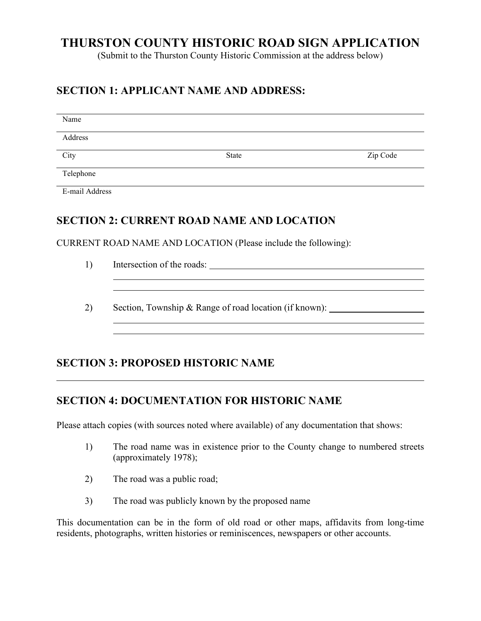# **THURSTON COUNTY HISTORIC ROAD SIGN APPLICATION**

(Submit to the Thurston County Historic Commission at the address below)

## **SECTION 1: APPLICANT NAME AND ADDRESS:**

| Name      |       |          |
|-----------|-------|----------|
| Address   |       |          |
| City      | State | Zip Code |
| Telephone |       |          |

E-mail Address

## **SECTION 2: CURRENT ROAD NAME AND LOCATION**

CURRENT ROAD NAME AND LOCATION (Please include the following):

- 1) Intersection of the roads:
- 2) Section, Township & Range of road location (if known):

### **SECTION 3: PROPOSED HISTORIC NAME**

## **SECTION 4: DOCUMENTATION FOR HISTORIC NAME**

Please attach copies (with sources noted where available) of any documentation that shows:

1) The road name was in existence prior to the County change to numbered streets (approximately 1978);

<u> 1980 - Johann Barbara, martxa alemaniar amerikan a</u>

- 2) The road was a public road;
- 3) The road was publicly known by the proposed name

This documentation can be in the form of old road or other maps, affidavits from long-time residents, photographs, written histories or reminiscences, newspapers or other accounts.